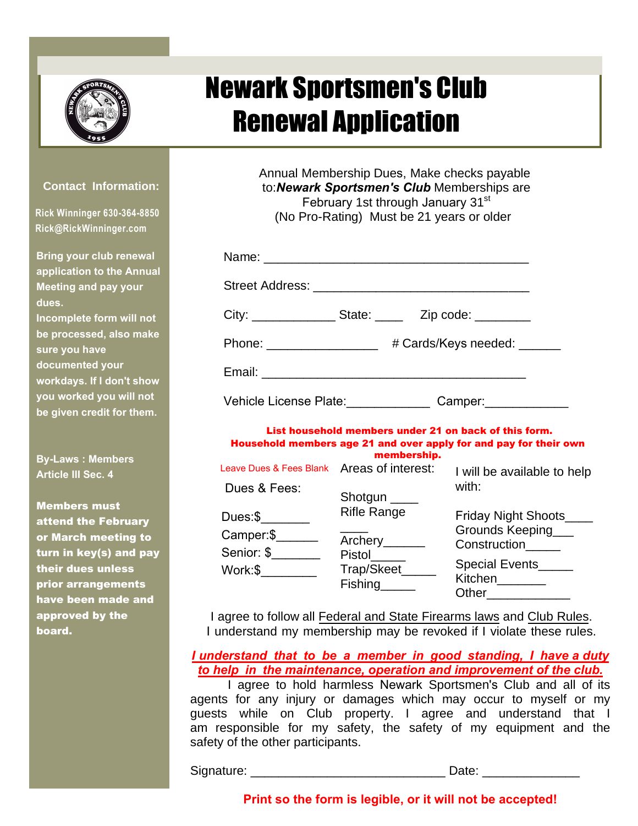## Newark Sportsmen's Club Renewal Application

## **Contact Information:**

**Staci Withrow (815)600-4104 NSCsecretary2@outlook.com**

**Bring your club renewal application to the Annual Meeting and pay your dues.** 

**Incomplete form will not be processed, also make sure you have documented your workdays. If I don't show you worked you will not be given credit for them.**

**By-Laws : Members Article III Sec. 4**

Members must attend the February or March meeting to turn in key(s) and pay their dues unless prior arrangements have been made and approved by the board.

|                                                                                                                                           | Phone: ____________________ # Cards/Keys needed: ______         |                                                                                                 |  |
|-------------------------------------------------------------------------------------------------------------------------------------------|-----------------------------------------------------------------|-------------------------------------------------------------------------------------------------|--|
|                                                                                                                                           |                                                                 |                                                                                                 |  |
| Vehicle License Plate:__________________ Camper:______________                                                                            |                                                                 |                                                                                                 |  |
| List household members under 21 on back of this form.<br>Household members age 21 and over apply for and pay for their own<br>membership. |                                                                 |                                                                                                 |  |
| Leave Dues & Fees Blank Areas of interest:<br>Dues & Fees:                                                                                | Shotgun _____                                                   | I will be available to help<br>with:                                                            |  |
| $Dues:\$<br>Camper:\$<br>Senior: \$<br>Work: \$                                                                                           | Rifle Range<br>Archery_______<br>Pistol_____<br>Trap/Skeet_____ | Friday Night Shoots____<br>Grounds Keeping___<br>Construction<br>Special Events_____<br>Kitchen |  |
|                                                                                                                                           | Fishing                                                         | Other __________                                                                                |  |

Annual Membership Dues, Make checks payable to:*Newark Sportsmen's Club* Memberships are February 1st through January 31<sup>st</sup> (No Pro-Rating) Must be 21 years or older

I agree to follow all Federal and State Firearms laws and Club Rules. I understand my membership may be revoked if I violate these rules.

*I understand that to be a member in good standing, I have a duty to help in the maintenance, operation and improvement of the club.*

I agree to hold harmless Newark Sportsmen's Club and all of its agents for any injury or damages which may occur to myself or my guests while on Club property. I agree and understand that I am responsible for my safety, the safety of my equipment and the safety of the other participants.

Signature: \_\_\_\_\_\_\_\_\_\_\_\_\_\_\_\_\_\_\_\_\_\_\_\_\_\_\_\_ Date: \_\_\_\_\_\_\_\_\_\_\_\_\_\_

**Print so the form is legible, or it will not be accepted!**